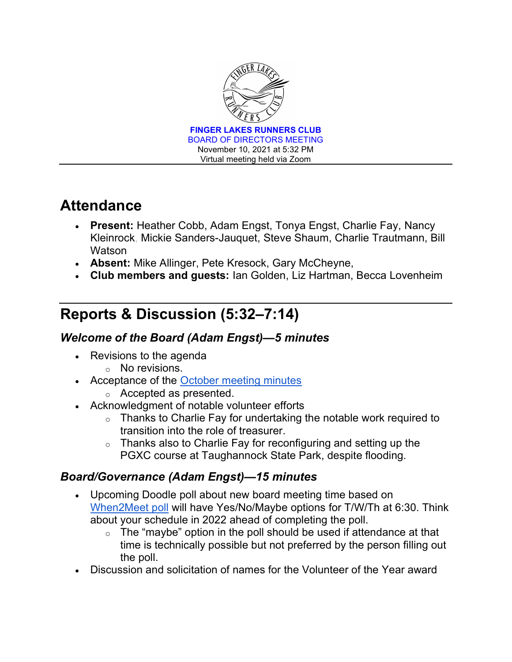

# **Attendance**

- Present: Heather Cobb, Adam Engst, Tonya Engst, Charlie Fay, Nancy Kleinrock, Mickie Sanders-Jauquet, Steve Shaum, Charlie Trautmann, Bill **Watson**
- **Absent:** Mike Allinger, Pete Kresock, Gary McCheyne,
- Club members and guests: Ian Golden, Liz Hartman, Becca Lovenheim

# Reports & Discussion (5:32–7:14)

### Welcome of the Board (Adam Engst)—5 minutes

- Revisions to the agenda
	- o No revisions.
- Acceptance of the October meeting minutes
	- o Accepted as presented.
- Acknowledgment of notable volunteer efforts
	- $\circ$  Thanks to Charlie Fay for undertaking the notable work required to transition into the role of treasurer.
	- $\circ$  Thanks also to Charlie Fay for reconfiguring and setting up the PGXC course at Taughannock State Park, despite flooding.

## Board/Governance (Adam Engst)—15 minutes

- Upcoming Doodle poll about new board meeting time based on When2Meet poll will have Yes/No/Maybe options for T/W/Th at 6:30. Think about your schedule in 2022 ahead of completing the poll.
	- $\circ$  The "maybe" option in the poll should be used if attendance at that time is technically possible but not preferred by the person filling out the poll.
- Discussion and solicitation of names for the Volunteer of the Year award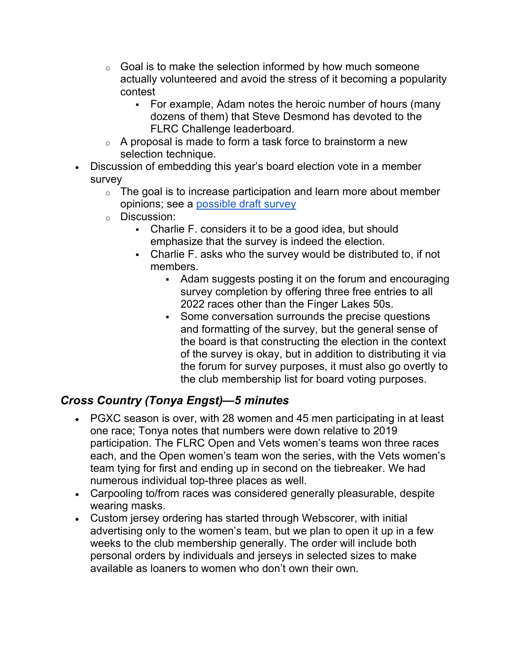- $\circ$  Goal is to make the selection informed by how much someone actually volunteered and avoid the stress of it becoming a popularity contest
	- For example, Adam notes the heroic number of hours (many dozens of them) that Steve Desmond has devoted to the FLRC Challenge leaderboard.
- $\circ$  A proposal is made to form a task force to brainstorm a new selection technique.
- Discussion of embedding this year's board election vote in a member survey
	- $\circ$  The goal is to increase participation and learn more about member opinions; see a possible draft survey
	- o Discussion:
		- Charlie F. considers it to be a good idea, but should emphasize that the survey is indeed the election.
		- Charlie F. asks who the survey would be distributed to, if not members.
			- Adam suggests posting it on the forum and encouraging survey completion by offering three free entries to all 2022 races other than the Finger Lakes 50s.
			- Some conversation surrounds the precise questions and formatting of the survey, but the general sense of the board is that constructing the election in the context of the survey is okay, but in addition to distributing it via the forum for survey purposes, it must also go overtly to the club membership list for board voting purposes.

## Cross Country (Tonya Engst)—5 minutes

- PGXC season is over, with 28 women and 45 men participating in at least one race; Tonya notes that numbers were down relative to 2019 participation. The FLRC Open and Vets women's teams won three races each, and the Open women's team won the series, with the Vets women's team tying for first and ending up in second on the tiebreaker. We had numerous individual top-three places as well.
- Carpooling to/from races was considered generally pleasurable, despite wearing masks.
- Custom jersey ordering has started through Webscorer, with initial advertising only to the women's team, but we plan to open it up in a few weeks to the club membership generally. The order will include both personal orders by individuals and jerseys in selected sizes to make available as loaners to women who don't own their own.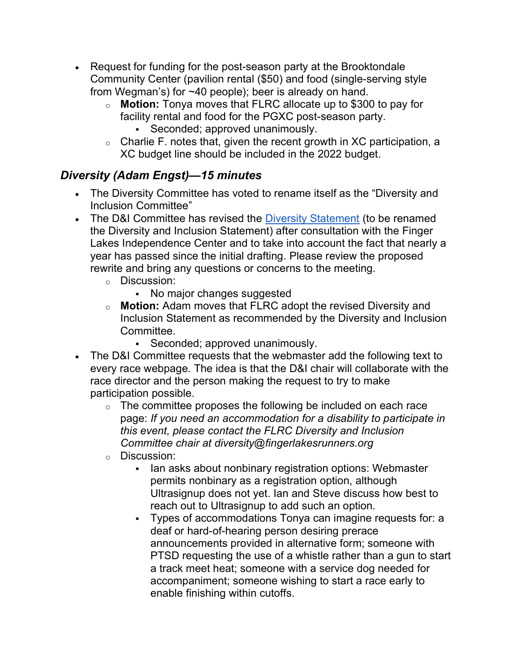- Request for funding for the post-season party at the Brooktondale Community Center (pavilion rental (\$50) and food (single-serving style from Wegman's) for ~40 people); beer is already on hand.
	- o **Motion:** Tonya moves that FLRC allocate up to \$300 to pay for facility rental and food for the PGXC post-season party.
		- Seconded; approved unanimously.
	- o Charlie F. notes that, given the recent growth in XC participation, a XC budget line should be included in the 2022 budget.

## Diversity (Adam Engst)—15 minutes

- The Diversity Committee has voted to rename itself as the "Diversity and Inclusion Committee"
- The D&I Committee has revised the Diversity Statement (to be renamed the Diversity and Inclusion Statement) after consultation with the Finger Lakes Independence Center and to take into account the fact that nearly a year has passed since the initial drafting. Please review the proposed rewrite and bring any questions or concerns to the meeting.
	- o Discussion:
		- No major changes suggested
	- o **Motion:** Adam moves that FLRC adopt the revised Diversity and Inclusion Statement as recommended by the Diversity and Inclusion Committee.
		- Seconded; approved unanimously.
- The D&I Committee requests that the webmaster add the following text to every race webpage. The idea is that the D&I chair will collaborate with the race director and the person making the request to try to make participation possible.
	- $\circ$  The committee proposes the following be included on each race page: If you need an accommodation for a disability to participate in this event, please contact the FLRC Diversity and Inclusion Committee chair at diversity@fingerlakesrunners.org
	- o Discussion:
		- Ian asks about nonbinary registration options: Webmaster permits nonbinary as a registration option, although Ultrasignup does not yet. Ian and Steve discuss how best to reach out to Ultrasignup to add such an option.
		- Types of accommodations Tonya can imagine requests for: a deaf or hard-of-hearing person desiring prerace announcements provided in alternative form; someone with PTSD requesting the use of a whistle rather than a gun to start a track meet heat; someone with a service dog needed for accompaniment; someone wishing to start a race early to enable finishing within cutoffs.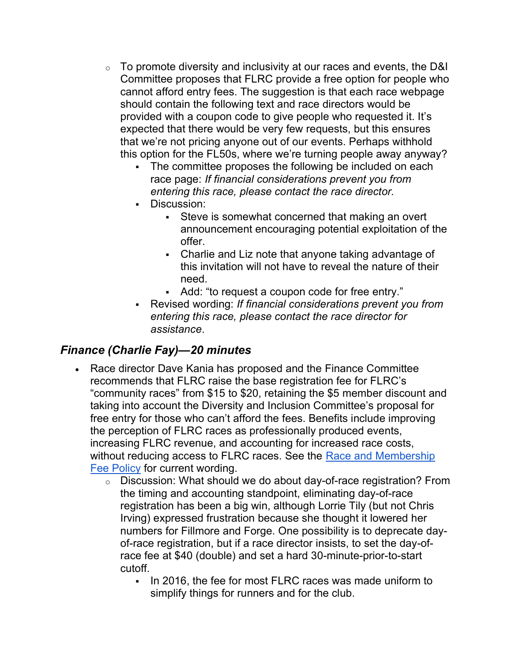- $\circ$  To promote diversity and inclusivity at our races and events, the D&I Committee proposes that FLRC provide a free option for people who cannot afford entry fees. The suggestion is that each race webpage should contain the following text and race directors would be provided with a coupon code to give people who requested it. It's expected that there would be very few requests, but this ensures that we're not pricing anyone out of our events. Perhaps withhold this option for the FL50s, where we're turning people away anyway?
	- The committee proposes the following be included on each race page: If financial considerations prevent you from entering this race, please contact the race director.
	- Discussion:
		- Steve is somewhat concerned that making an overt announcement encouraging potential exploitation of the offer.
		- Charlie and Liz note that anyone taking advantage of this invitation will not have to reveal the nature of their need.
		- Add: "to request a coupon code for free entry."
	- Revised wording: If financial considerations prevent you from entering this race, please contact the race director for assistance.

#### Finance (Charlie Fay)—20 minutes

- Race director Dave Kania has proposed and the Finance Committee recommends that FLRC raise the base registration fee for FLRC's "community races" from \$15 to \$20, retaining the \$5 member discount and taking into account the Diversity and Inclusion Committee's proposal for free entry for those who can't afford the fees. Benefits include improving the perception of FLRC races as professionally produced events, increasing FLRC revenue, and accounting for increased race costs, without reducing access to FLRC races. See the Race and Membership Fee Policy for current wording.
	- o Discussion: What should we do about day-of-race registration? From the timing and accounting standpoint, eliminating day-of-race registration has been a big win, although Lorrie Tily (but not Chris Irving) expressed frustration because she thought it lowered her numbers for Fillmore and Forge. One possibility is to deprecate dayof-race registration, but if a race director insists, to set the day-ofrace fee at \$40 (double) and set a hard 30-minute-prior-to-start cutoff.
		- In 2016, the fee for most FLRC races was made uniform to simplify things for runners and for the club.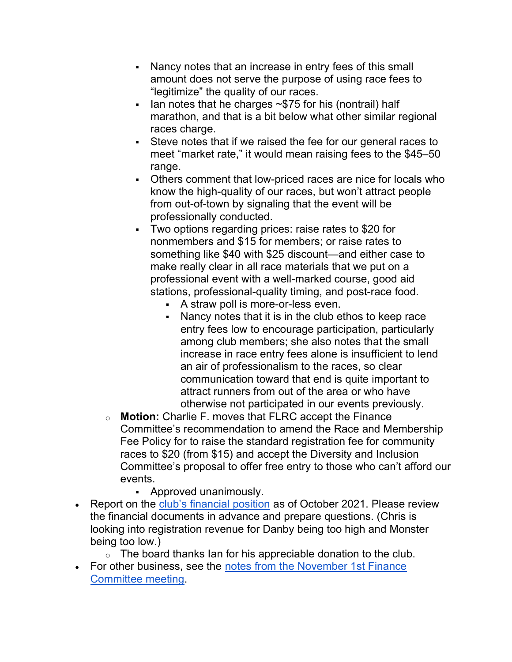- Nancy notes that an increase in entry fees of this small amount does not serve the purpose of using race fees to "legitimize" the quality of our races.
- Ian notes that he charges  $\sim$ \$75 for his (nontrail) half marathon, and that is a bit below what other similar regional races charge.
- Steve notes that if we raised the fee for our general races to meet "market rate," it would mean raising fees to the \$45–50 range.
- Others comment that low-priced races are nice for locals who know the high-quality of our races, but won't attract people from out-of-town by signaling that the event will be professionally conducted.
- Two options regarding prices: raise rates to \$20 for nonmembers and \$15 for members; or raise rates to something like \$40 with \$25 discount—and either case to make really clear in all race materials that we put on a professional event with a well-marked course, good aid stations, professional-quality timing, and post-race food.
	- A straw poll is more-or-less even.
	- Nancy notes that it is in the club ethos to keep race entry fees low to encourage participation, particularly among club members; she also notes that the small increase in race entry fees alone is insufficient to lend an air of professionalism to the races, so clear communication toward that end is quite important to attract runners from out of the area or who have otherwise not participated in our events previously.
- o **Motion:** Charlie F. moves that FLRC accept the Finance Committee's recommendation to amend the Race and Membership Fee Policy for to raise the standard registration fee for community races to \$20 (from \$15) and accept the Diversity and Inclusion Committee's proposal to offer free entry to those who can't afford our events.
	- Approved unanimously.
- Report on the club's financial position as of October 2021. Please review the financial documents in advance and prepare questions. (Chris is looking into registration revenue for Danby being too high and Monster being too low.)
	- $\circ$  The board thanks Ian for his appreciable donation to the club.
- For other business, see the notes from the November 1st Finance Committee meeting.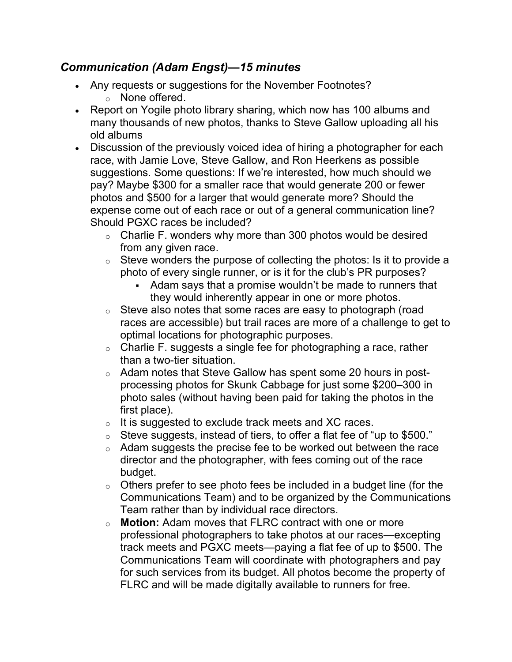#### Communication (Adam Engst)—15 minutes

- Any requests or suggestions for the November Footnotes? o None offered.
- Report on Yogile photo library sharing, which now has 100 albums and many thousands of new photos, thanks to Steve Gallow uploading all his old albums
- Discussion of the previously voiced idea of hiring a photographer for each race, with Jamie Love, Steve Gallow, and Ron Heerkens as possible suggestions. Some questions: If we're interested, how much should we pay? Maybe \$300 for a smaller race that would generate 200 or fewer photos and \$500 for a larger that would generate more? Should the expense come out of each race or out of a general communication line? Should PGXC races be included?
	- $\circ$  Charlie F. wonders why more than 300 photos would be desired from any given race.
	- $\circ$  Steve wonders the purpose of collecting the photos: Is it to provide a photo of every single runner, or is it for the club's PR purposes?
		- Adam says that a promise wouldn't be made to runners that they would inherently appear in one or more photos.
	- $\circ$  Steve also notes that some races are easy to photograph (road races are accessible) but trail races are more of a challenge to get to optimal locations for photographic purposes.
	- $\circ$  Charlie F. suggests a single fee for photographing a race, rather than a two-tier situation.
	- o Adam notes that Steve Gallow has spent some 20 hours in postprocessing photos for Skunk Cabbage for just some \$200–300 in photo sales (without having been paid for taking the photos in the first place).
	- $\circ$  It is suggested to exclude track meets and XC races.
	- o Steve suggests, instead of tiers, to offer a flat fee of "up to \$500."
	- $\circ$  Adam suggests the precise fee to be worked out between the race director and the photographer, with fees coming out of the race budget.
	- $\circ$  Others prefer to see photo fees be included in a budget line (for the Communications Team) and to be organized by the Communications Team rather than by individual race directors.
	- o **Motion:** Adam moves that FLRC contract with one or more professional photographers to take photos at our races—excepting track meets and PGXC meets—paying a flat fee of up to \$500. The Communications Team will coordinate with photographers and pay for such services from its budget. All photos become the property of FLRC and will be made digitally available to runners for free.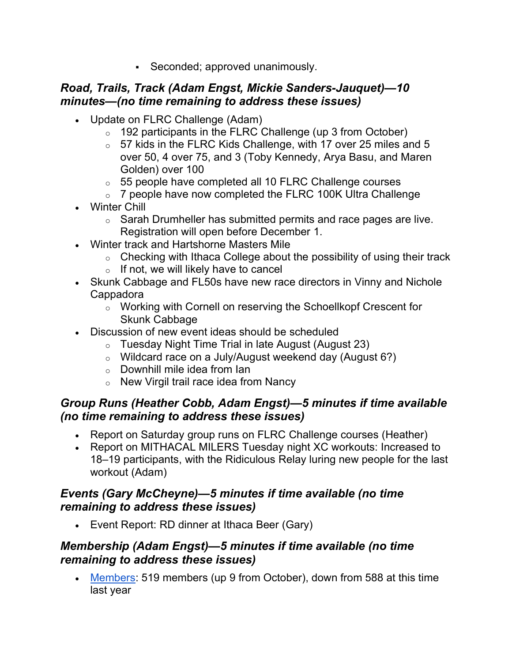Seconded; approved unanimously.

#### Road, Trails, Track (Adam Engst, Mickie Sanders-Jauquet)—10 minutes—(no time remaining to address these issues)

- Update on FLRC Challenge (Adam)
	- $\circ$  192 participants in the FLRC Challenge (up 3 from October)
	- $\circ$  57 kids in the FLRC Kids Challenge, with 17 over 25 miles and 5 over 50, 4 over 75, and 3 (Toby Kennedy, Arya Basu, and Maren Golden) over 100
	- o 55 people have completed all 10 FLRC Challenge courses
	- $\circ$  7 people have now completed the FLRC 100K Ultra Challenge
- Winter Chill
	- $\circ$  Sarah Drumheller has submitted permits and race pages are live. Registration will open before December 1.
- Winter track and Hartshorne Masters Mile
	- $\circ$  Checking with Ithaca College about the possibility of using their track
	- $\circ$  If not, we will likely have to cancel
- Skunk Cabbage and FL50s have new race directors in Vinny and Nichole Cappadora
	- o Working with Cornell on reserving the Schoellkopf Crescent for Skunk Cabbage
- Discussion of new event ideas should be scheduled
	- $\circ$  Tuesday Night Time Trial in late August (August 23)
	- $\circ$  Wildcard race on a July/August weekend day (August 6?)
	- o Downhill mile idea from Ian
	- o New Virgil trail race idea from Nancy

### Group Runs (Heather Cobb, Adam Engst)—5 minutes if time available (no time remaining to address these issues)

- Report on Saturday group runs on FLRC Challenge courses (Heather)
- Report on MITHACAL MILERS Tuesday night XC workouts: Increased to 18–19 participants, with the Ridiculous Relay luring new people for the last workout (Adam)

### Events (Gary McCheyne)—5 minutes if time available (no time remaining to address these issues)

Event Report: RD dinner at Ithaca Beer (Gary)

### Membership (Adam Engst)—5 minutes if time available (no time remaining to address these issues)

• Members: 519 members (up 9 from October), down from 588 at this time last year